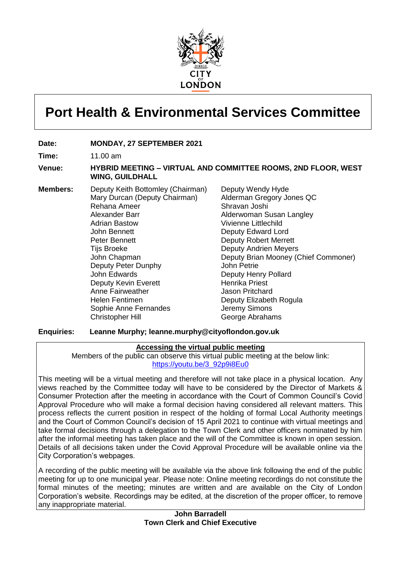

# **Port Health & Environmental Services Committee**

#### **Date: MONDAY, 27 SEPTEMBER 2021**

**Time:** 11.00 am

#### **Venue: HYBRID MEETING – VIRTUAL AND COMMITTEE ROOMS, 2ND FLOOR, WEST WING, GUILDHALL**

**Members:** Deputy Keith Bottomley (Chairman) Mary Durcan (Deputy Chairman) Rehana Ameer Alexander Barr Adrian Bastow John Bennett Peter Bennett Tijs Broeke John Chapman Deputy Peter Dunphy John Edwards Deputy Kevin Everett Anne Fairweather Helen Fentimen Sophie Anne Fernandes Christopher Hill

Deputy Wendy Hyde Alderman Gregory Jones QC Shravan Joshi Alderwoman Susan Langley Vivienne Littlechild Deputy Edward Lord Deputy Robert Merrett Deputy Andrien Meyers Deputy Brian Mooney (Chief Commoner) John Petrie Deputy Henry Pollard Henrika Priest Jason Pritchard Deputy Elizabeth Rogula Jeremy Simons George Abrahams

#### **Enquiries: Leanne Murphy; leanne.murphy@cityoflondon.gov.uk**

#### **Accessing the virtual public meeting**

Members of the public can observe this virtual public meeting at the below link: [https://youtu.be/3\\_92p9i8Eu0](https://youtu.be/3_92p9i8Eu0)

This meeting will be a virtual meeting and therefore will not take place in a physical location. Any views reached by the Committee today will have to be considered by the Director of Markets & Consumer Protection after the meeting in accordance with the Court of Common Council's Covid Approval Procedure who will make a formal decision having considered all relevant matters. This process reflects the current position in respect of the holding of formal Local Authority meetings and the Court of Common Council's decision of 15 April 2021 to continue with virtual meetings and take formal decisions through a delegation to the Town Clerk and other officers nominated by him after the informal meeting has taken place and the will of the Committee is known in open session. Details of all decisions taken under the Covid Approval Procedure will be available online via the City Corporation's webpages.

A recording of the public meeting will be available via the above link following the end of the public meeting for up to one municipal year. Please note: Online meeting recordings do not constitute the formal minutes of the meeting; minutes are written and are available on the City of London Corporation's website. Recordings may be edited, at the discretion of the proper officer, to remove any inappropriate material.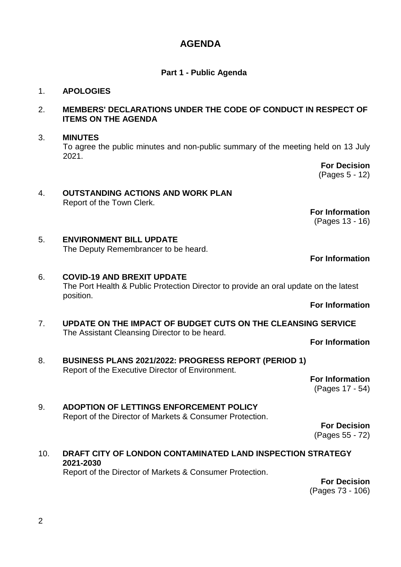# **AGENDA**

# **Part 1 - Public Agenda**

# 1. **APOLOGIES**

#### 2. **MEMBERS' DECLARATIONS UNDER THE CODE OF CONDUCT IN RESPECT OF ITEMS ON THE AGENDA**

#### 3. **MINUTES**

To agree the public minutes and non-public summary of the meeting held on 13 July 2021.

> **For Decision** (Pages 5 - 12)

#### 4. **OUTSTANDING ACTIONS AND WORK PLAN** Report of the Town Clerk.

**For Information**

(Pages 13 - 16)

5. **ENVIRONMENT BILL UPDATE** The Deputy Remembrancer to be heard.

# **For Information**

# 6. **COVID-19 AND BREXIT UPDATE** The Port Health & Public Protection Director to provide an oral update on the latest position.

#### **For Information**

7. **UPDATE ON THE IMPACT OF BUDGET CUTS ON THE CLEANSING SERVICE** The Assistant Cleansing Director to be heard.

**For Information**

8. **BUSINESS PLANS 2021/2022: PROGRESS REPORT (PERIOD 1)** Report of the Executive Director of Environment.

**For Information** (Pages 17 - 54)

9. **ADOPTION OF LETTINGS ENFORCEMENT POLICY** Report of the Director of Markets & Consumer Protection.

**For Decision** (Pages 55 - 72)

# 10. **DRAFT CITY OF LONDON CONTAMINATED LAND INSPECTION STRATEGY 2021-2030**

Report of the Director of Markets & Consumer Protection.

**For Decision** (Pages 73 - 106)